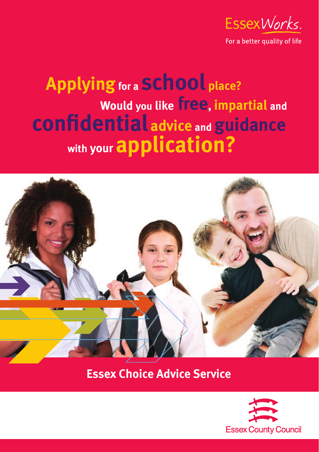

For a better quality of life

## **Applying for a school place? Would you like free, impartial and confi dential advice and guidance with your application?**



## **Essex Choice Advice Service**